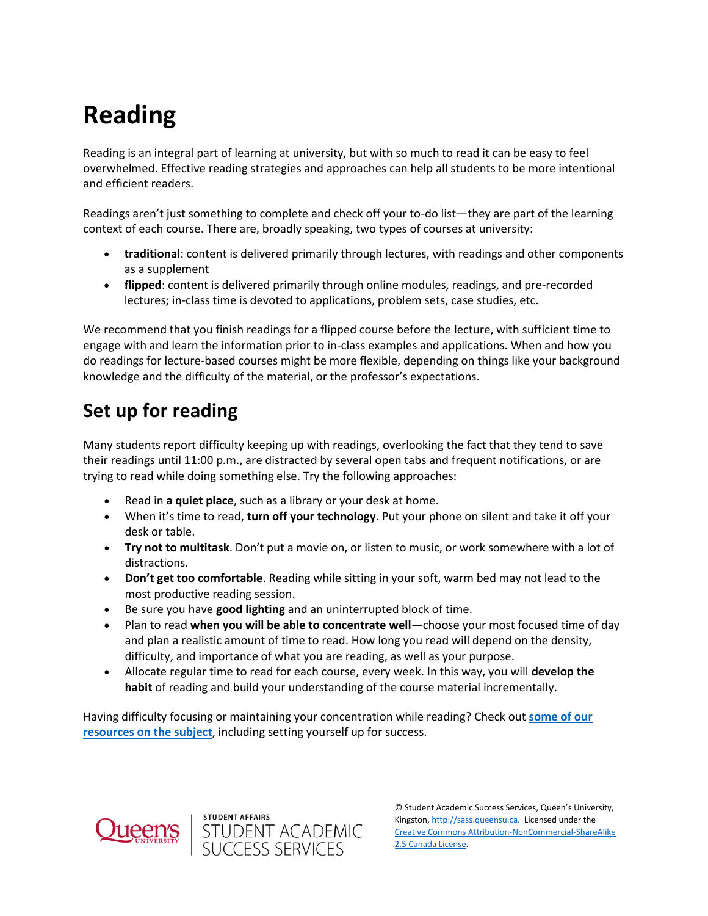# **Reading**

Reading is an integral part of learning at university, but with so much to read it can be easy to feel overwhelmed. Effective reading strategies and approaches can help all students to be more intentional and efficient readers.

Readings aren't just something to complete and check off your to-do list—they are part of the learning context of each course. There are, broadly speaking, two types of courses at university:

- **traditional**: content is delivered primarily through lectures, with readings and other components as a supplement
- **flipped**: content is delivered primarily through online modules, readings, and pre-recorded lectures; in-class time is devoted to applications, problem sets, case studies, etc.

We recommend that you finish readings for a flipped course before the lecture, with sufficient time to engage with and learn the information prior to in-class examples and applications. When and how you do readings for lecture-based courses might be more flexible, depending on things like your background knowledge and the difficulty of the material, or the professor's expectations.

# **Set up for reading**

Many students report difficulty keeping up with readings, overlooking the fact that they tend to save their readings until 11:00 p.m., are distracted by several open tabs and frequent notifications, or are trying to read while doing something else. Try the following approaches:

- Read in **a quiet place**, such as a library or your desk at home.
- When it's time to read, **turn off your technology**. Put your phone on silent and take it off your desk or table.
- **Try not to multitask**. Don't put a movie on, or listen to music, or work somewhere with a lot of distractions.
- **Don't get too comfortable**. Reading while sitting in your soft, warm bed may not lead to the most productive reading session.
- Be sure you have **good lighting** and an uninterrupted block of time.
- Plan to read **when you will be able to concentrate well**—choose your most focused time of day and plan a realistic amount of time to read. How long you read will depend on the density, difficulty, and importance of what you are reading, as well as your purpose.
- Allocate regular time to read for each course, every week. In this way, you will **develop the habit** of reading and build your understanding of the course material incrementally.

Having difficulty focusing or maintaining your concentration while reading? Check out **[some of our](https://wp3-dev.its.queensu.ca/ha/sasswww/resources/focus-and-concentration)  [resources on the subject](https://wp3-dev.its.queensu.ca/ha/sasswww/resources/focus-and-concentration)**, including setting yourself up for success.



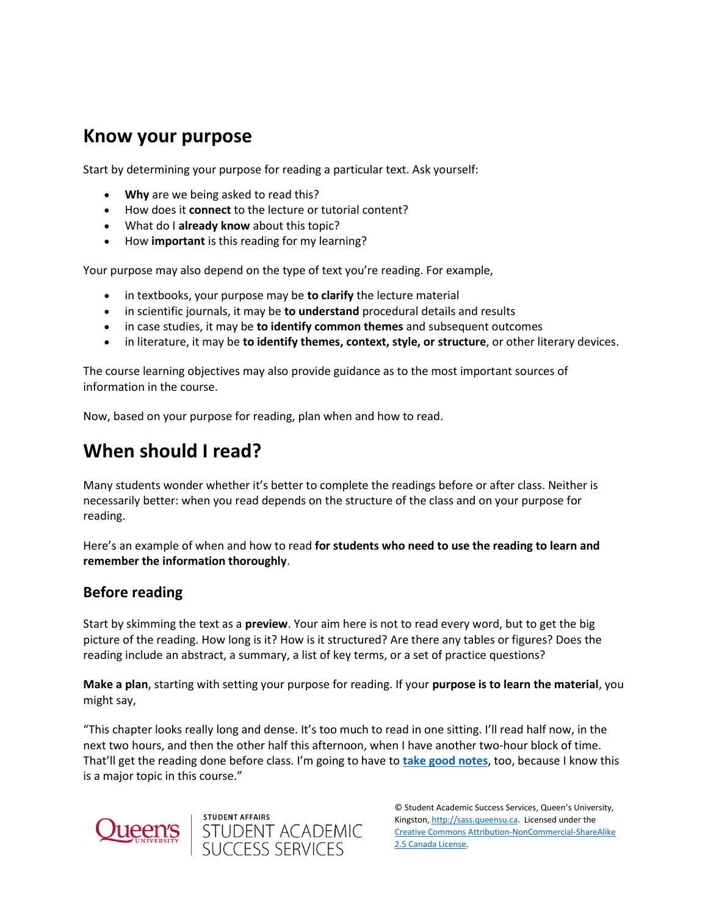### **Know your purpose**

Start by determining your purpose for reading a particular text. Ask yourself:

- **Why** are we being asked to read this?
- How does it **connect** to the lecture or tutorial content?
- What do I **already know** about this topic?
- How *important* is this reading for my learning?

Your purpose may also depend on the type of text you're reading. For example,

- in textbooks, your purpose may be **to clarify** the lecture material
- in scientific journals, it may be **to understand** procedural details and results
- in case studies, it may be **to identify common themes** and subsequent outcomes
- in literature, it may be **to identify themes, context, style, or structure**, or other literary devices.

The course learning objectives may also provide guidance as to the most important sources of information in the course.

Now, based on your purpose for reading, plan when and how to read.

## **When should I read?**

Many students wonder whether it's better to complete the readings before or after class. Neither is necessarily better: when you read depends on the structure of the class and on your purpose for reading.

Here's an example of when and how to read **for students who need to use the reading to learn and remember the information thoroughly**.

#### **Before reading**

Start by skimming the text as a **preview**. Your aim here is not to read every word, but to get the big picture of the reading. How long is it? How is it structured? Are there any tables or figures? Does the reading include an abstract, a summary, a list of key terms, or a set of practice questions?

**Make a plan**, starting with setting your purpose for reading. If your **purpose is to learn the material**, you might say,

"This chapter looks really long and dense. It's too much to read in one sitting. I'll read half now, in the next two hours, and then the other half this afternoon, when I have another two-hour block of time. That'll get the reading done before class. I'm going to have to **[take good notes](https://wp3-dev.its.queensu.ca/ha/sasswww/resources/note-taking)**, too, because I know this is a major topic in this course."





© Student Academic Success Services, Queen's University, Kingston[, http://sass.queensu.ca.](http://sass.queensu.ca/) Licensed under the [Creative Commons Attribution-NonCommercial-ShareAlike](http://creativecommons.org/licenses/by-nc-sa/2.5/ca/)  [2.5 Canada License.](http://creativecommons.org/licenses/by-nc-sa/2.5/ca/)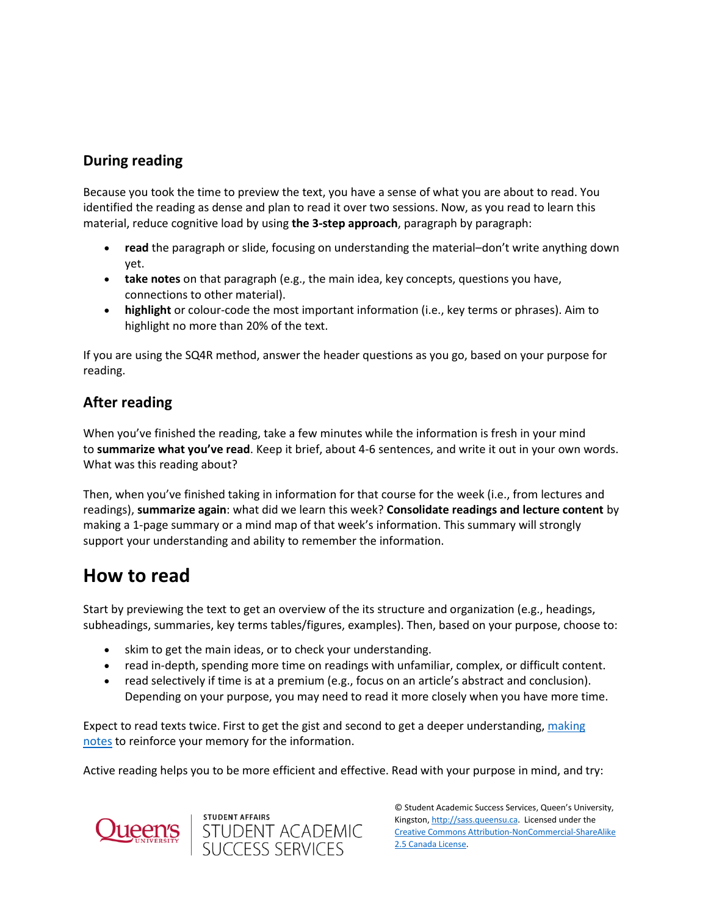#### **During reading**

Because you took the time to preview the text, you have a sense of what you are about to read. You identified the reading as dense and plan to read it over two sessions. Now, as you read to learn this material, reduce cognitive load by using the 3-step approach, paragraph by paragraph:

- **read** the paragraph or slide, focusing on understanding the material–don't write anything down yet.
- **take notes** on that paragraph (e.g., the main idea, key concepts, questions you have, connections to other material).
- **highlight** or colour-code the most important information (i.e., key terms or phrases). Aim to highlight no more than 20% of the text.

If you are using the SQ4R method, answer the header questions as you go, based on your purpose for reading.

#### **After reading**

When you've finished the reading, take a few minutes while the information is fresh in your mind to **summarize what you've read**. Keep it brief, about 4-6 sentences, and write it out in your own words. What was this reading about?

Then, when you've finished taking in information for that course for the week (i.e., from lectures and readings), **summarize again**: what did we learn this week? **Consolidate readings and lecture content** by making a 1-page summary or a mind map of that week's information. This summary will strongly support your understanding and ability to remember the information.

### **How to read**

Start by previewing the text to get an overview of the its structure and organization (e.g., headings, subheadings, summaries, key terms tables/figures, examples). Then, based on your purpose, choose to:

- skim to get the main ideas, or to check your understanding.
- read in-depth, spending more time on readings with unfamiliar, complex, or difficult content.
- read selectively if time is at a premium (e.g., focus on an article's abstract and conclusion). Depending on your purpose, you may need to read it more closely when you have more time.

Expect to read texts twice. First to get the gist and second to get a deeper understanding, making [notes](https://wp3-dev.its.queensu.ca/ha/sasswww/resources/note-taking) to reinforce your memory for the information.

Active reading helps you to be more efficient and effective. Read with your purpose in mind, and try:





© Student Academic Success Services, Queen's University, Kingston[, http://sass.queensu.ca.](http://sass.queensu.ca/) Licensed under the [Creative Commons Attribution-NonCommercial-ShareAlike](http://creativecommons.org/licenses/by-nc-sa/2.5/ca/)  [2.5 Canada License.](http://creativecommons.org/licenses/by-nc-sa/2.5/ca/)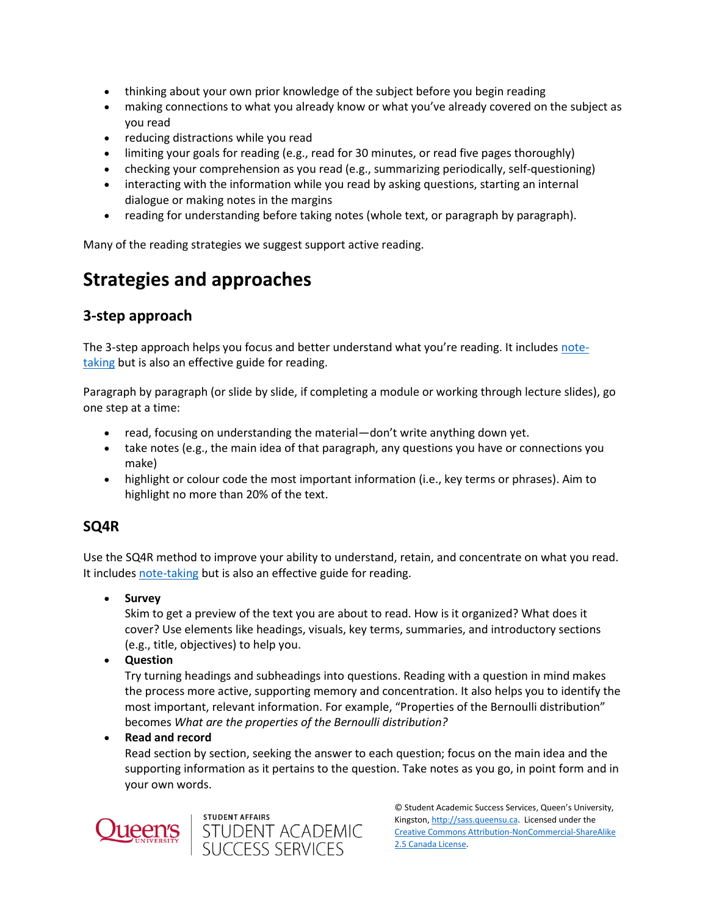- thinking about your own prior knowledge of the subject before you begin reading
- making connections to what you already know or what you've already covered on the subject as you read
- reducing distractions while you read
- limiting your goals for reading (e.g., read for 30 minutes, or read five pages thoroughly)
- checking your comprehension as you read (e.g., summarizing periodically, self-questioning)
- interacting with the information while you read by asking questions, starting an internal dialogue or making notes in the margins
- reading for understanding before taking notes (whole text, or paragraph by paragraph).

Many of the reading strategies we suggest support active reading.

# **Strategies and approaches**

#### **3-step approach**

The 3-step approach helps you focus and better understand what you're reading. It includes [note](https://wp3-dev.its.queensu.ca/ha/sasswww/resources/note-taking)[taking](https://wp3-dev.its.queensu.ca/ha/sasswww/resources/note-taking) but is also an effective guide for reading.

Paragraph by paragraph (or slide by slide, if completing a module or working through lecture slides), go one step at a time:

- read, focusing on understanding the material—don't write anything down yet.
- take notes (e.g., the main idea of that paragraph, any questions you have or connections you make)
- highlight or colour code the most important information (i.e., key terms or phrases). Aim to highlight no more than 20% of the text.

#### **SQ4R**

Use the SQ4R method to improve your ability to understand, retain, and concentrate on what you read. It includes [note-taking](https://wp3-dev.its.queensu.ca/ha/sasswww/resources/note-taking) but is also an effective guide for reading.

**Survey**

Skim to get a preview of the text you are about to read. How is it organized? What does it cover? Use elements like headings, visuals, key terms, summaries, and introductory sections (e.g., title, objectives) to help you.

**Question**

Try turning headings and subheadings into questions. Reading with a question in mind makes the process more active, supporting memory and concentration. It also helps you to identify the most important, relevant information. For example, "Properties of the Bernoulli distribution" becomes *What are the properties of the Bernoulli distribution?*

**Read and record**

Read section by section, seeking the answer to each question; focus on the main idea and the supporting information as it pertains to the question. Take notes as you go, in point form and in your own words.





© Student Academic Success Services, Queen's University, Kingston[, http://sass.queensu.ca.](http://sass.queensu.ca/) Licensed under the [Creative Commons Attribution-NonCommercial-ShareAlike](http://creativecommons.org/licenses/by-nc-sa/2.5/ca/)  [2.5 Canada License.](http://creativecommons.org/licenses/by-nc-sa/2.5/ca/)